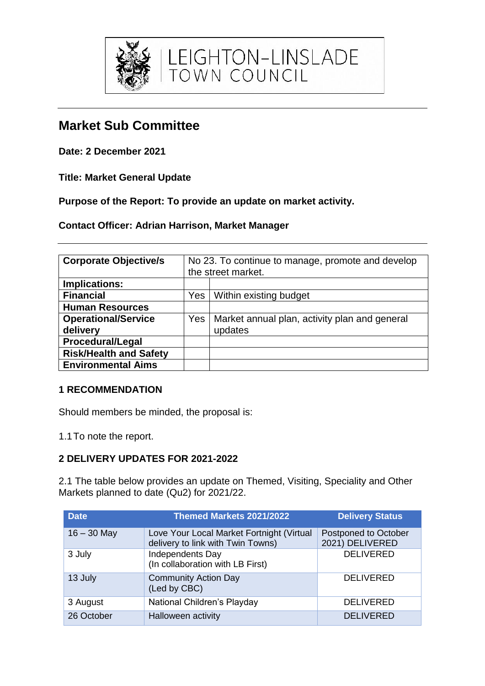

# **Market Sub Committee**

**Date: 2 December 2021**

**Title: Market General Update**

**Purpose of the Report: To provide an update on market activity.**

**Contact Officer: Adrian Harrison, Market Manager**

| <b>Corporate Objective/s</b>  | No 23. To continue to manage, promote and develop |                                               |  |  |  |
|-------------------------------|---------------------------------------------------|-----------------------------------------------|--|--|--|
|                               | the street market.                                |                                               |  |  |  |
| Implications:                 |                                                   |                                               |  |  |  |
| <b>Financial</b>              | Yes                                               | Within existing budget                        |  |  |  |
| <b>Human Resources</b>        |                                                   |                                               |  |  |  |
| <b>Operational/Service</b>    | <b>Yes</b>                                        | Market annual plan, activity plan and general |  |  |  |
| delivery                      |                                                   | updates                                       |  |  |  |
| <b>Procedural/Legal</b>       |                                                   |                                               |  |  |  |
| <b>Risk/Health and Safety</b> |                                                   |                                               |  |  |  |
| <b>Environmental Aims</b>     |                                                   |                                               |  |  |  |

# **1 RECOMMENDATION**

Should members be minded, the proposal is:

1.1To note the report.

# **2 DELIVERY UPDATES FOR 2021-2022**

2.1 The table below provides an update on Themed, Visiting, Speciality and Other Markets planned to date (Qu2) for 2021/22.

| <b>Date</b>   | Themed Markets 2021/2022                                                       | <b>Delivery Status</b>                  |
|---------------|--------------------------------------------------------------------------------|-----------------------------------------|
| $16 - 30$ May | Love Your Local Market Fortnight (Virtual<br>delivery to link with Twin Towns) | Postponed to October<br>2021) DELIVERED |
| 3 July        | Independents Day<br>(In collaboration with LB First)                           | <b>DELIVERED</b>                        |
| 13 July       | <b>Community Action Day</b><br>(Led by CBC)                                    | <b>DELIVERED</b>                        |
| 3 August      | National Children's Playday                                                    | <b>DELIVERED</b>                        |
| 26 October    | Halloween activity                                                             | <b>DELIVERED</b>                        |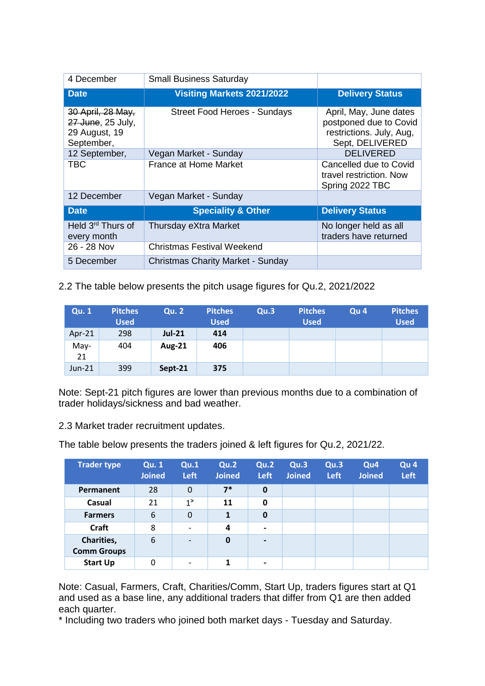| 4 December                                                            | <b>Small Business Saturday</b>           |                                                                                                 |
|-----------------------------------------------------------------------|------------------------------------------|-------------------------------------------------------------------------------------------------|
| <b>Date</b>                                                           | <b>Visiting Markets 2021/2022</b>        | <b>Delivery Status</b>                                                                          |
| 30 April, 28 May,<br>27 June, 25 July,<br>29 August, 19<br>September, | <b>Street Food Heroes - Sundays</b>      | April, May, June dates<br>postponed due to Covid<br>restrictions. July, Aug,<br>Sept, DELIVERED |
| 12 September,                                                         | Vegan Market - Sunday                    | <b>DELIVERED</b>                                                                                |
| TBC                                                                   | <b>France at Home Market</b>             | Cancelled due to Covid<br>travel restriction. Now<br>Spring 2022 TBC                            |
| 12 December                                                           | Vegan Market - Sunday                    |                                                                                                 |
| <b>Date</b>                                                           | <b>Speciality &amp; Other</b>            | <b>Delivery Status</b>                                                                          |
| Held 3 <sup>rd</sup> Thurs of<br>every month                          | Thursday eXtra Market                    | No longer held as all<br>traders have returned                                                  |
| 26 - 28 Nov                                                           | Christmas Festival Weekend               |                                                                                                 |
| 5 December                                                            | <b>Christmas Charity Market - Sunday</b> |                                                                                                 |

2.2 The table below presents the pitch usage figures for Qu.2, 2021/2022

| <b>Qu. 1</b> | <b>Pitches</b><br><b>Used</b> | <b>Qu. 2</b>  | <b>Pitches</b><br><b>Used</b> | Qu.3 | <b>Pitches</b><br><b>Used</b> | Qu <sub>4</sub> | <b>Pitches</b><br><b>Used</b> |
|--------------|-------------------------------|---------------|-------------------------------|------|-------------------------------|-----------------|-------------------------------|
| Apr-21       | 298                           | <b>Jul-21</b> | 414                           |      |                               |                 |                               |
| May-<br>21   | 404                           | <b>Aug-21</b> | 406                           |      |                               |                 |                               |
| $Jun-21$     | 399                           | Sept-21       | 375                           |      |                               |                 |                               |

Note: Sept-21 pitch figures are lower than previous months due to a combination of trader holidays/sickness and bad weather.

2.3 Market trader recruitment updates.

The table below presents the traders joined & left figures for Qu.2, 2021/22.

| <b>Trader type</b>               | <b>Qu. 1</b><br><b>Joined</b> | Qu.1<br><b>Left</b>          | Qu.2<br><b>Joined</b> | Qu.2<br><b>Left</b>      | Qu.3<br><b>Joined</b> | Qu.3<br><b>Left</b> | Qu <sub>4</sub><br><b>Joined</b> | Qu <sub>4</sub><br>Left |
|----------------------------------|-------------------------------|------------------------------|-----------------------|--------------------------|-----------------------|---------------------|----------------------------------|-------------------------|
| Permanent                        | 28                            | $\mathbf 0$                  | $7*$                  | $\bf{0}$                 |                       |                     |                                  |                         |
| Casual                           | 21                            | 1 <sup>5</sup>               | 11                    | 0                        |                       |                     |                                  |                         |
| <b>Farmers</b>                   | 6                             | $\mathbf 0$                  | 1                     | $\bf{0}$                 |                       |                     |                                  |                         |
| <b>Craft</b>                     | 8                             | $\overline{\phantom{0}}$     | 4                     | $\overline{\phantom{a}}$ |                       |                     |                                  |                         |
| Charities,<br><b>Comm Groups</b> | 6                             | $\qquad \qquad \blacksquare$ | $\mathbf 0$           | $\overline{\phantom{0}}$ |                       |                     |                                  |                         |
| <b>Start Up</b>                  | 0                             |                              | 1                     | $\overline{\phantom{0}}$ |                       |                     |                                  |                         |

Note: Casual, Farmers, Craft, Charities/Comm, Start Up, traders figures start at Q1 and used as a base line, any additional traders that differ from Q1 are then added each quarter.

\* Including two traders who joined both market days - Tuesday and Saturday.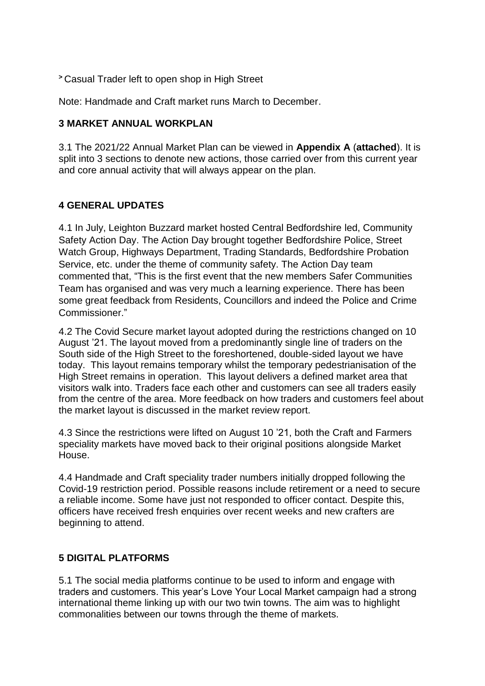**<sup>&</sup>gt;** Casual Trader left to open shop in High Street

Note: Handmade and Craft market runs March to December.

#### **3 MARKET ANNUAL WORKPLAN**

3.1 The 2021/22 Annual Market Plan can be viewed in **Appendix A** (**attached**). It is split into 3 sections to denote new actions, those carried over from this current year and core annual activity that will always appear on the plan.

#### **4 GENERAL UPDATES**

4.1 In July, Leighton Buzzard market hosted Central Bedfordshire led, Community Safety Action Day. The Action Day brought together Bedfordshire Police, Street Watch Group, Highways Department, Trading Standards, Bedfordshire Probation Service, etc. under the theme of community safety. The Action Day team commented that, "This is the first event that the new members Safer Communities Team has organised and was very much a learning experience. There has been some great feedback from Residents, Councillors and indeed the Police and Crime Commissioner."

4.2 The Covid Secure market layout adopted during the restrictions changed on 10 August '21. The layout moved from a predominantly single line of traders on the South side of the High Street to the foreshortened, double-sided layout we have today. This layout remains temporary whilst the temporary pedestrianisation of the High Street remains in operation. This layout delivers a defined market area that visitors walk into. Traders face each other and customers can see all traders easily from the centre of the area. More feedback on how traders and customers feel about the market layout is discussed in the market review report.

4.3 Since the restrictions were lifted on August 10 '21, both the Craft and Farmers speciality markets have moved back to their original positions alongside Market House.

4.4 Handmade and Craft speciality trader numbers initially dropped following the Covid-19 restriction period. Possible reasons include retirement or a need to secure a reliable income. Some have just not responded to officer contact. Despite this, officers have received fresh enquiries over recent weeks and new crafters are beginning to attend.

#### **5 DIGITAL PLATFORMS**

5.1 The social media platforms continue to be used to inform and engage with traders and customers. This year's Love Your Local Market campaign had a strong international theme linking up with our two twin towns. The aim was to highlight commonalities between our towns through the theme of markets.